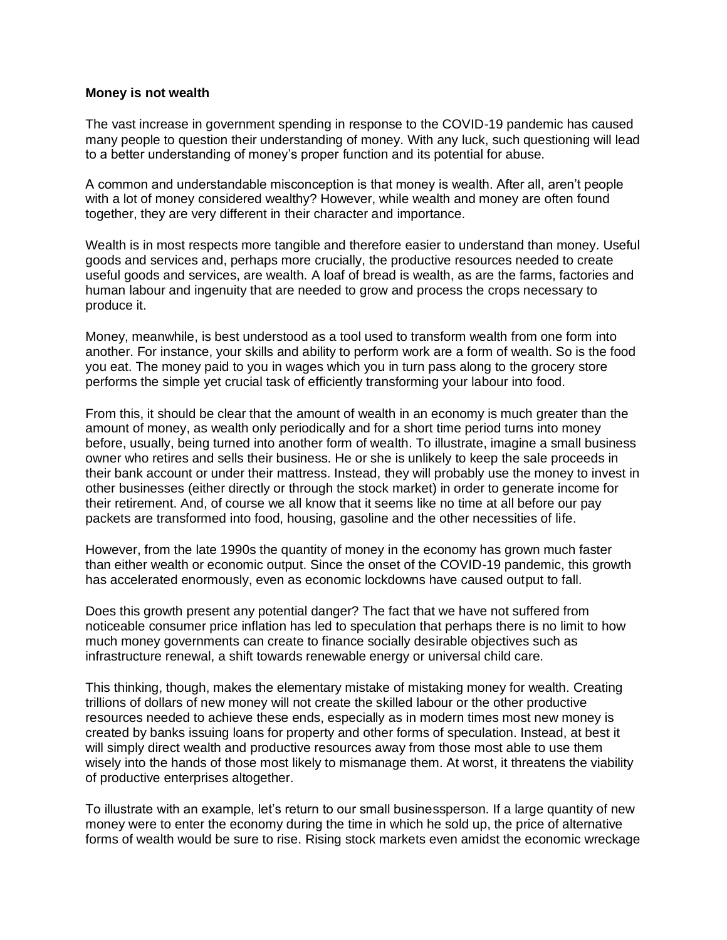## **Money is not wealth**

The vast increase in government spending in response to the COVID-19 pandemic has caused many people to question their understanding of money. With any luck, such questioning will lead to a better understanding of money's proper function and its potential for abuse.

A common and understandable misconception is that money is wealth. After all, aren't people with a lot of money considered wealthy? However, while wealth and money are often found together, they are very different in their character and importance.

Wealth is in most respects more tangible and therefore easier to understand than money. Useful goods and services and, perhaps more crucially, the productive resources needed to create useful goods and services, are wealth. A loaf of bread is wealth, as are the farms, factories and human labour and ingenuity that are needed to grow and process the crops necessary to produce it.

Money, meanwhile, is best understood as a tool used to transform wealth from one form into another. For instance, your skills and ability to perform work are a form of wealth. So is the food you eat. The money paid to you in wages which you in turn pass along to the grocery store performs the simple yet crucial task of efficiently transforming your labour into food.

From this, it should be clear that the amount of wealth in an economy is much greater than the amount of money, as wealth only periodically and for a short time period turns into money before, usually, being turned into another form of wealth. To illustrate, imagine a small business owner who retires and sells their business. He or she is unlikely to keep the sale proceeds in their bank account or under their mattress. Instead, they will probably use the money to invest in other businesses (either directly or through the stock market) in order to generate income for their retirement. And, of course we all know that it seems like no time at all before our pay packets are transformed into food, housing, gasoline and the other necessities of life.

However, from the late 1990s the quantity of money in the economy has grown much faster than either wealth or economic output. Since the onset of the COVID-19 pandemic, this growth has accelerated enormously, even as economic lockdowns have caused output to fall.

Does this growth present any potential danger? The fact that we have not suffered from noticeable consumer price inflation has led to speculation that perhaps there is no limit to how much money governments can create to finance socially desirable objectives such as infrastructure renewal, a shift towards renewable energy or universal child care.

This thinking, though, makes the elementary mistake of mistaking money for wealth. Creating trillions of dollars of new money will not create the skilled labour or the other productive resources needed to achieve these ends, especially as in modern times most new money is created by banks issuing loans for property and other forms of speculation. Instead, at best it will simply direct wealth and productive resources away from those most able to use them wisely into the hands of those most likely to mismanage them. At worst, it threatens the viability of productive enterprises altogether.

To illustrate with an example, let's return to our small businessperson. If a large quantity of new money were to enter the economy during the time in which he sold up, the price of alternative forms of wealth would be sure to rise. Rising stock markets even amidst the economic wreckage